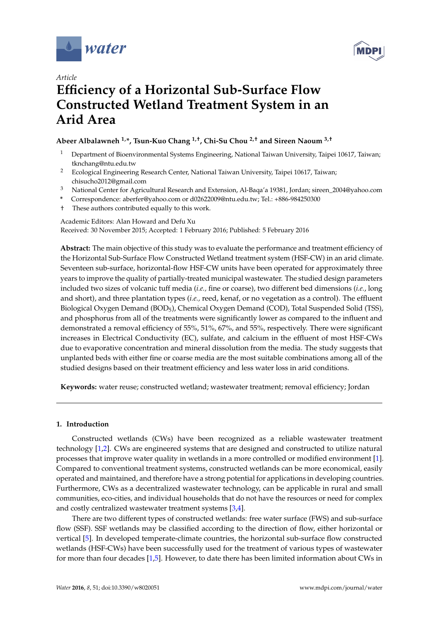



# *Article* **Efficiency of a Horizontal Sub-Surface Flow Constructed Wetland Treatment System in an Arid Area**

# **Abeer Albalawneh 1,\*, Tsun-Kuo Chang 1,†, Chi-Su Chou 2,† and Sireen Naoum 3,†**

- <sup>1</sup> Department of Bioenvironmental Systems Engineering, National Taiwan University, Taipei 10617, Taiwan; tknchang@ntu.edu.tw
- <sup>2</sup> Ecological Engineering Research Center, National Taiwan University, Taipei 10617, Taiwan; chisucho2012@gmail.com
- <sup>3</sup> National Center for Agricultural Research and Extension, Al-Baqa'a 19381, Jordan; sireen\_2004@yahoo.com
- **\*** Correspondence: aberfer@yahoo.com or d02622009@ntu.edu.tw; Tel.: +886-984250300
- † These authors contributed equally to this work.

Academic Editors: Alan Howard and Defu Xu

Received: 30 November 2015; Accepted: 1 February 2016; Published: 5 February 2016

**Abstract:** The main objective of this study was to evaluate the performance and treatment efficiency of the Horizontal Sub-Surface Flow Constructed Wetland treatment system (HSF-CW) in an arid climate. Seventeen sub-surface, horizontal-flow HSF-CW units have been operated for approximately three years to improve the quality of partially-treated municipal wastewater. The studied design parameters included two sizes of volcanic tuff media (*i.e.,* fine or coarse), two different bed dimensions (*i.e.*, long and short), and three plantation types (*i.e.,* reed, kenaf, or no vegetation as a control). The effluent Biological Oxygen Demand (BOD5), Chemical Oxygen Demand (COD), Total Suspended Solid (TSS), and phosphorus from all of the treatments were significantly lower as compared to the influent and demonstrated a removal efficiency of 55%, 51%, 67%, and 55%, respectively. There were significant increases in Electrical Conductivity (EC), sulfate, and calcium in the effluent of most HSF-CWs due to evaporative concentration and mineral dissolution from the media. The study suggests that unplanted beds with either fine or coarse media are the most suitable combinations among all of the studied designs based on their treatment efficiency and less water loss in arid conditions.

**Keywords:** water reuse; constructed wetland; wastewater treatment; removal efficiency; Jordan

# **1. Introduction**

Constructed wetlands (CWs) have been recognized as a reliable wastewater treatment technology [\[1,](#page-12-0)[2\]](#page-12-1). CWs are engineered systems that are designed and constructed to utilize natural processes that improve water quality in wetlands in a more controlled or modified environment [\[1\]](#page-12-0). Compared to conventional treatment systems, constructed wetlands can be more economical, easily operated and maintained, and therefore have a strong potential for applications in developing countries. Furthermore, CWs as a decentralized wastewater technology, can be applicable in rural and small communities, eco-cities, and individual households that do not have the resources or need for complex and costly centralized wastewater treatment systems [\[3,](#page-12-2)[4\]](#page-12-3).

There are two different types of constructed wetlands: free water surface (FWS) and sub-surface flow (SSF). SSF wetlands may be classified according to the direction of flow, either horizontal or vertical [\[5\]](#page-12-4). In developed temperate-climate countries, the horizontal sub-surface flow constructed wetlands (HSF-CWs) have been successfully used for the treatment of various types of wastewater for more than four decades [\[1](#page-12-0)[,5\]](#page-12-4). However, to date there has been limited information about CWs in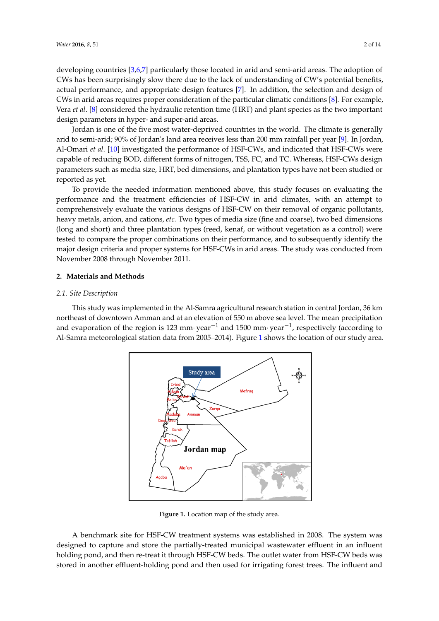developing countries [\[3](#page-12-2)[,6,](#page-12-5)[7\]](#page-12-6) particularly those located in arid and semi-arid areas. The adoption of  $CWS$  has been surprisingly slow there due to the lack of understanding of  $CW's$  potential benefits, actual performance, and appropriate design features [\[7\]](#page-12-6). In addition, the selection and design of CWs in arid areas requires proper consideration of the particular climatic conditions [\[8\]](#page-12-7). For example, Vera *et al.* [\[8\]](#page-12-7) considered the hydraulic retention time (HRT) and plant species as the two important Vera *et al.* [8] considered the hydraulic retention time (HRT) and plant species as the two important design parameters in hyper- and super-arid areas.  $a_{ij}$  performance and appropriate design feature  $(11N)$  and plant species as the two importance

Jordan is one of the five most water-deprived countries in the world. The climate is generally arid to semi-arid; 90% of Jordan's land area receives less than 200 mm rainfall per year [\[9\]](#page-12-8). In Jordan, Al-Omari et al. [\[10\]](#page-12-9) investigated the performance of HSF-CWs, and indicated that HSF-CWs were capable of reducing BOD, different forms of nitrogen, TSS, FC, and TC. Whereas, HSF-CWs design parameters such as media size, HRT, bed dimensions, and plantation types have not been studied or reported as yet. capable of reducing BOD, and perfection of the participation types have not been state  $p_{\rm d}$  as yet,  $p_{\rm d}$ 

To provide the needed information mentioned above, this study focuses on evaluating the performance and the treatment efficiencies of HSF-CW in arid climates, with an attempt to comprehensively evaluate the various designs of HSF-CW on their removal of organic pollutants, heavy metals, anion, and cations, *etc*. Two types of media size (fine and coarse), two bed dimensions dong and short) and three plantation types (reed, kenaf, or without vegetation as a control) were<br>(long and short) and three plantation types (reed, kenaf, or without vegetation as a control) were tested to compare the proper combinations on their performance, and to subsequently identify the tested to compare the proper combinations on their performance, and to subsequently identify the major design criteria and proper systems for HSF-CWs in arid areas. The study was conducted from major design criteria and proper systems for HSF-CWs in arid areas. The study was conducted from November 2008 through November 2011. November 2008 through November 2011.  $\alpha$  short) and three plantation types (reed, kenaf, or without vegetation as a control

# **2. Materials and Methods 2. Materials and Methods**

# *2.1. Site Description 2.1. Site Description*

<span id="page-1-0"></span>This study was implemented in the Al-Samra agricultural research station in central Jordan, 36 km This study was implemented in the Al-Samra agricultural research station in central Jordan, northeast of downtown Amman and at an elevation of 550 m above sea level. The mean precipitation and evaporation of the region is 123 mm $\cdot$  year $^{-1}$  and 1500 mm $\cdot$  year $^{-1}$ , respectively (according to Al-Samra meteorological station data from 2005–20[1](#page-1-0)4). Figure 1 shows the location of our study area.  $\frac{3}{10}$  staty was improved in the Th summa agriculation of 550 m above search of 550 m above seasons.



**Figure 1.** Location map of the study area. **Figure 1.** Location map of the study area.

A benchmark site for HSF-CW treatment systems was established in 2008. The system was designed to capture and store the partially-treated municipal wastewater effluent in an influent holding pond, and then re-treat it through HSF-CW beds. The outlet water from HSF-CW beds was stored in another effluent-holding pond and then used for irrigating forest trees. The influent and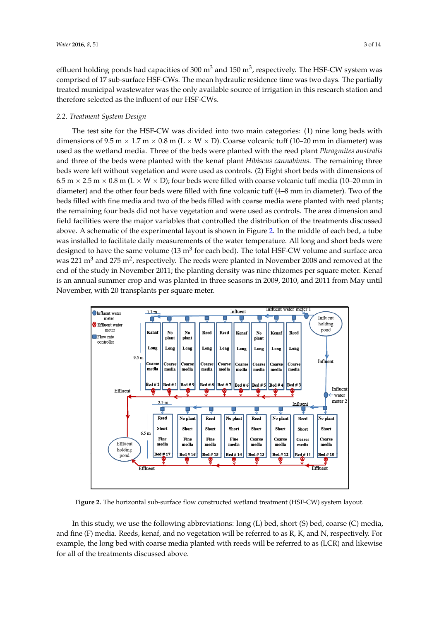effluent holding ponds had capacities of 300  $\mathrm{m}^{3}$  and 150  $\mathrm{m}^{3}$ , respectively. The HSF-CW system was comprised of 17 sub-surface HSF-CWs. The mean hydraulic residence time was two days. The partially treated municipal wastewater was the only available source of irrigation in this research station and *2.2. Treatment System Design*  therefore selected as the influent of our HSF-CWs.

# 2.2. Treatment System Design

The test site for the HSF-CW was divided into two main categories: (1) nine long beds with dimensions of 9.5 m  $\times$  1.7 m  $\times$  0.8 m (L  $\times$  W  $\times$  D). Coarse volcanic tuff (10–20 mm in diameter) was used as the wetland media. Three of the beds were planted with the reed plant *Phragmites australis* and three of the beds were planted with the kenaf plant *Hibiscus cannabinus*. The remaining three beds were left without vegetation and were used as controls. (2) Eight short beds with dimensions of  $6.5$  m  $\times$  2.5 m  $\times$  0.8 m (L  $\times$  W  $\times$  D); four beds were filled with coarse volcanic tuff media (10–20 mm in diameter) and the other four beds were filled with fine volcanic tuff (4–8 mm in diameter). Two of the beds filled with fine media and two of the beds filled with coarse media were planted with reed plants; Figure 2. In the was interested and two of the beds middle with coased meant were planted with receptions, the area dimension and the remaining four beds did not have vegetation and were used as controls. The area dimensio field facilities were the major variables that controlled the distribution of the treatments discussed above. A schematic of t[he](#page-2-0) experimental layout is shown in Figure 2. In the middle of each bed, a tube was installed to facilitate daily measurements of the water temperature. All long and short beds were designed to have the same volume (13 m<sup>3</sup> for each bed). The total HSF-CW volume and surface area was 221  $\text{m}^3$  and 275  $\text{m}^2$ , respectively. The reeds were planted in November 2008 and removed at the end of the study in November 2011; the planting density was nine rhizomes per square meter. Kenaf is an annual summer crop and was planted in three seasons in 2009, 2010, and 2011 from May until November, with 20 transplants per square meter. used as the wetland media. Three of the beds were planted with the reed plant *Phragmites australis* emaning four beds and not have vegetation and were ased as controls. The area dimension likely what so durisplants per square meter.

<span id="page-2-0"></span>

**Figure 2.** The horizontal sub-surface flow constructed wetland treatment (HSF-CW) system layout.

In this study, we use the following abbreviations: long (L) bed, short (S) bed, coarse (C) media, and fine (F) media. Reeds, kenaf, and no vegetation will be referred to as R, K, and N, respectively. For example, the long bed with coarse media planted with reeds will be referred to as (LCR) and likewise for all of the treatments discussed above.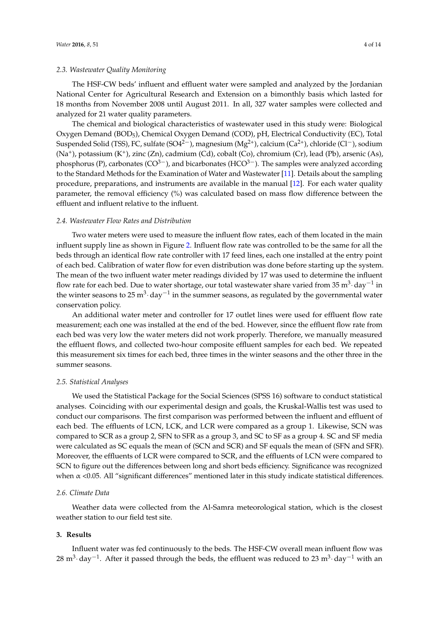# *2.3. Wastewater Quality Monitoring*

The HSF-CW beds' influent and effluent water were sampled and analyzed by the Jordanian National Center for Agricultural Research and Extension on a bimonthly basis which lasted for 18 months from November 2008 until August 2011. In all, 327 water samples were collected and analyzed for 21 water quality parameters.

The chemical and biological characteristics of wastewater used in this study were: Biological Oxygen Demand (BOD5), Chemical Oxygen Demand (COD), pH, Electrical Conductivity (EC), Total Suspended Solid (TSS), FC, sulfate (SO4<sup>2-</sup>), magnesium (Mg<sup>2+</sup>), calcium (Ca<sup>2+</sup>), chloride (Cl<sup>-</sup>), sodium (Na<sup>+</sup>), potassium (K<sup>+</sup>), zinc (Zn), cadmium (Cd), cobalt (Co), chromium (Cr), lead (Pb), arsenic (As), phosphorus (P), carbonates ( $CO^{3-}$ ), and bicarbonates ( $HCO^{3-}$ ). The samples were analyzed according to the Standard Methods for the Examination of Water and Wastewater [\[11\]](#page-12-10). Details about the sampling procedure, preparations, and instruments are available in the manual [\[12\]](#page-12-11). For each water quality parameter, the removal efficiency (%) was calculated based on mass flow difference between the effluent and influent relative to the influent.

# *2.4. Wastewater Flow Rates and Distribution*

Two water meters were used to measure the influent flow rates, each of them located in the main influent supply line as shown in Figure [2.](#page-2-0) Influent flow rate was controlled to be the same for all the beds through an identical flow rate controller with 17 feed lines, each one installed at the entry point of each bed. Calibration of water flow for even distribution was done before starting up the system. The mean of the two influent water meter readings divided by 17 was used to determine the influent flow rate for each bed. Due to water shortage, our total wastewater share varied from 35  $\mathrm{m}^{3}\cdot$  day $^{-1}$  in the winter seasons to 25  $\text{m}^{3} \cdot$  day $^{-1}$  in the summer seasons, as regulated by the governmental water conservation policy.

An additional water meter and controller for 17 outlet lines were used for effluent flow rate measurement; each one was installed at the end of the bed. However, since the effluent flow rate from each bed was very low the water meters did not work properly. Therefore, we manually measured the effluent flows, and collected two-hour composite effluent samples for each bed. We repeated this measurement six times for each bed, three times in the winter seasons and the other three in the summer seasons.

### *2.5. Statistical Analyses*

We used the Statistical Package for the Social Sciences (SPSS 16) software to conduct statistical analyses. Coinciding with our experimental design and goals, the Kruskal-Wallis test was used to conduct our comparisons. The first comparison was performed between the influent and effluent of each bed. The effluents of LCN, LCK, and LCR were compared as a group 1. Likewise, SCN was compared to SCR as a group 2, SFN to SFR as a group 3, and SC to SF as a group 4. SC and SF media were calculated as SC equals the mean of (SCN and SCR) and SF equals the mean of (SFN and SFR). Moreover, the effluents of LCR were compared to SCR, and the effluents of LCN were compared to SCN to figure out the differences between long and short beds efficiency. Significance was recognized when  $\alpha$  <0.05. All "significant differences" mentioned later in this study indicate statistical differences.

#### *2.6. Climate Data*

Weather data were collected from the Al-Samra meteorological station, which is the closest weather station to our field test site.

# **3. Results**

Influent water was fed continuously to the beds. The HSF-CW overall mean influent flow was 28 m $^3$  day $^{-1}$ . After it passed through the beds, the effluent was reduced to 23 m $^3$  day $^{-1}$  with an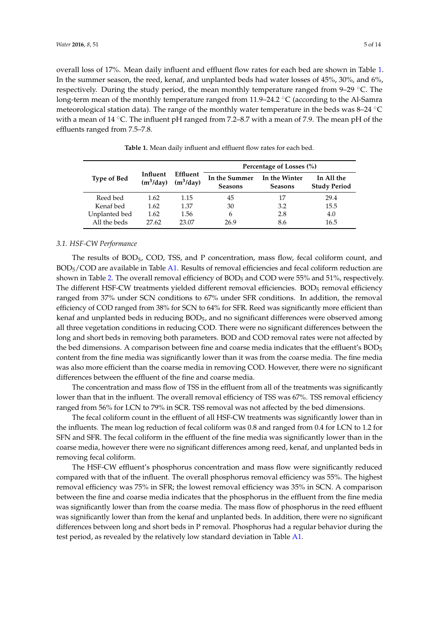overall loss of 17%. Mean daily influent and effluent flow rates for each bed are shown in Table [1.](#page-4-0) In the summer season, the reed, kenaf, and unplanted beds had water losses of 45%, 30%, and 6%, respectively. During the study period, the mean monthly temperature ranged from  $9-29$  °C. The long-term mean of the monthly temperature ranged from  $11.9-24.2 \text{ }^{\circ}C$  (according to the Al-Samra meteorological station data). The range of the monthly water temperature in the beds was  $8-24$  °C with a mean of 14  $\degree$ C. The influent pH ranged from 7.2–8.7 with a mean of 7.9. The mean pH of the effluents ranged from 7.5–7.8.

<span id="page-4-0"></span>

|                    |                         |                         | Percentage of Losses (%)        |                                 |                                   |  |  |  |  |  |
|--------------------|-------------------------|-------------------------|---------------------------------|---------------------------------|-----------------------------------|--|--|--|--|--|
| <b>Type of Bed</b> | Influent<br>$(m^3/day)$ | Effluent<br>$(m^3/day)$ | In the Summer<br><b>Seasons</b> | In the Winter<br><b>Seasons</b> | In All the<br><b>Study Period</b> |  |  |  |  |  |
| Reed bed           | 1.62                    | 1.15                    | 45                              | 17                              | 29.4                              |  |  |  |  |  |
| Kenaf bed          | 1.62                    | 1.37                    | 30                              | 3.2                             | 15.5                              |  |  |  |  |  |
| Unplanted bed      | 1.62                    | 1.56                    | 6                               | 2.8                             | 4.0                               |  |  |  |  |  |
| All the beds       | 27.62                   | 23.07                   | 26.9                            | 8.6                             | 16.5                              |  |  |  |  |  |

**Table 1.** Mean daily influent and effluent flow rates for each bed.

#### *3.1. HSF-CW Performance*

The results of BOD5, COD, TSS, and P concentration, mass flow, fecal coliform count, and BOD5/COD are available in Table [A1.](#page-9-0) Results of removal efficiencies and fecal coliform reduction are shown in Table [2.](#page-5-0) The overall removal efficiency of BOD<sub>5</sub> and COD were 55% and 51%, respectively. The different HSF-CW treatments yielded different removal efficiencies. BOD<sub>5</sub> removal efficiency ranged from 37% under SCN conditions to 67% under SFR conditions. In addition, the removal efficiency of COD ranged from 38% for SCN to 64% for SFR. Reed was significantly more efficient than kenaf and unplanted beds in reducing BOD5, and no significant differences were observed among all three vegetation conditions in reducing COD. There were no significant differences between the long and short beds in removing both parameters. BOD and COD removal rates were not affected by the bed dimensions. A comparison between fine and coarse media indicates that the effluent's BOD<sup>5</sup> content from the fine media was significantly lower than it was from the coarse media. The fine media was also more efficient than the coarse media in removing COD. However, there were no significant differences between the effluent of the fine and coarse media.

The concentration and mass flow of TSS in the effluent from all of the treatments was significantly lower than that in the influent. The overall removal efficiency of TSS was 67%. TSS removal efficiency ranged from 56% for LCN to 79% in SCR. TSS removal was not affected by the bed dimensions.

The fecal coliform count in the effluent of all HSF-CW treatments was significantly lower than in the influents. The mean log reduction of fecal coliform was 0.8 and ranged from 0.4 for LCN to 1.2 for SFN and SFR. The fecal coliform in the effluent of the fine media was significantly lower than in the coarse media, however there were no significant differences among reed, kenaf, and unplanted beds in removing fecal coliform.

The HSF-CW effluent's phosphorus concentration and mass flow were significantly reduced compared with that of the influent. The overall phosphorus removal efficiency was 55%. The highest removal efficiency was 75% in SFR; the lowest removal efficiency was 35% in SCN. A comparison between the fine and coarse media indicates that the phosphorus in the effluent from the fine media was significantly lower than from the coarse media. The mass flow of phosphorus in the reed effluent was significantly lower than from the kenaf and unplanted beds. In addition, there were no significant differences between long and short beds in P removal. Phosphorus had a regular behavior during the test period, as revealed by the relatively low standard deviation in Table [A1.](#page-9-0)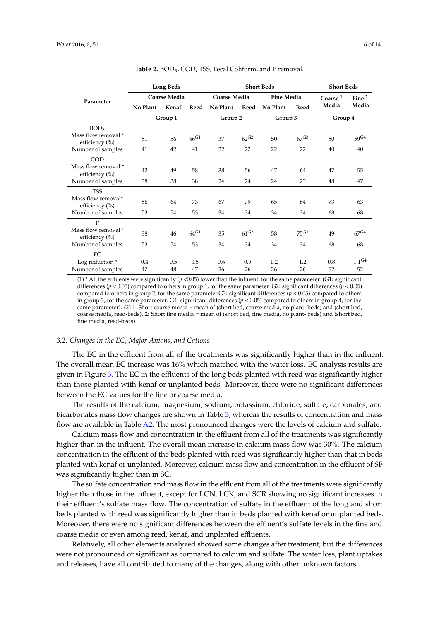<span id="page-5-0"></span>

|                                                    |                     | <b>Long Beds</b> |                    |              | <b>Short Beds</b>               | <b>Short Beds</b> |           |                   |                         |  |
|----------------------------------------------------|---------------------|------------------|--------------------|--------------|---------------------------------|-------------------|-----------|-------------------|-------------------------|--|
| Parameter                                          | <b>Coarse Media</b> |                  |                    | Coarse Media |                                 | <b>Fine Media</b> |           | Coarse $^{\rm 1}$ | Fine <sup>2</sup>       |  |
|                                                    | No Plant            | Kenaf            | Reed               | No Plant     | Reed                            | No Plant          | Reed      | Media             | Media                   |  |
|                                                    | Group 1             |                  |                    | Group 2      |                                 | Group 3           |           | Group 4           |                         |  |
| BOD <sub>5</sub><br>Mass flow removal *            | 51                  | 56               | $66^{\rm G1}$      | 37           | $62^{G2}$                       | 50                | $67^{G3}$ | 50                | $59^{G4}$               |  |
| efficiency (%)<br>Number of samples                | 41                  | 42               | 41                 | 22           | 22                              | 22                | 22        | 40                | 40                      |  |
| COD<br>Mass flow removal *<br>efficiency (%)       | 42                  | 49               | 58                 | 38           | 56                              | 47                | 64        | 47                | 55                      |  |
| Number of samples                                  | 38                  | 38               | 38                 | 24           | 24                              | 24                | 23        | 48                | 47                      |  |
| <b>TSS</b><br>Mass flow removal*<br>efficiency (%) | 56<br>53            | 64<br>54         | 73<br>53           | 67<br>34     | 79<br>34                        | 65<br>34          | 64<br>34  | 73<br>68          | 63<br>68                |  |
| Number of samples<br>$\mathbf{P}$                  |                     |                  |                    |              |                                 |                   |           |                   |                         |  |
| Mass flow removal *<br>efficiency (%)              | 38                  | 46               | $64$ <sup>G1</sup> | 35           | $61$ <sup><math>G2</math></sup> | 58                | $75^{G3}$ | 49                | $67^{G4}$               |  |
| Number of samples                                  | 53                  | 54               | 53                 | 34           | 34                              | 34                | 34        | 68                | 68                      |  |
| FC<br>Log reduction *<br>Number of samples         | 0.4<br>47           | 0.5<br>48        | 0.5<br>47          | 0.6<br>26    | 0.9<br>26                       | 1.2<br>26         | 1.2<br>26 | 0.8<br>52         | 1.1 <sup>G4</sup><br>52 |  |

**Table 2.** BOD<sub>5</sub>, COD, TSS, Fecal Coliform, and P removal.

 $(1)$ <sup>\*</sup> All the effluents were significantly ( $p$  <0.05) lower than the influent, for the same parameter. (G1: significant differences ( $p < 0.05$ ) compared to others in group 1, for the same parameter. G2: significant differences ( $p < 0.05$ ) compared to others in group 2, for the same parameter.G3: significant differences  $(p < 0.05)$  compared to others in group 3, for the same parameter. G4: significant differences (*p* < 0.05) compared to others in group 4, for the same parameter). (2) 1: Short coarse media = mean of (short bed, coarse media, no plant- beds) and (short bed, coarse media, reed-beds). 2: Short fine media = mean of (short bed, fine media, no plant- beds) and (short bed, fine media, reed-beds).

#### *3.2. Changes in the EC, Major Anions, and Cations*

The EC in the effluent from all of the treatments was significantly higher than in the influent. The overall mean EC increase was 16% which matched with the water loss. EC analysis results are given in Figure [3.](#page-6-0) The EC in the effluents of the long beds planted with reed was significantly higher than those planted with kenaf or unplanted beds. Moreover, there were no significant differences between the EC values for the fine or coarse media.

The results of the calcium, magnesium, sodium, potassium, chloride, sulfate, carbonates, and bicarbonates mass flow changes are shown in Table [3,](#page-6-1) whereas the results of concentration and mass flow are available in Table [A2.](#page-11-0) The most pronounced changes were the levels of calcium and sulfate.

Calcium mass flow and concentration in the effluent from all of the treatments was significantly higher than in the influent. The overall mean increase in calcium mass flow was 30%. The calcium concentration in the effluent of the beds planted with reed was significantly higher than that in beds planted with kenaf or unplanted. Moreover, calcium mass flow and concentration in the effluent of SF was significantly higher than in SC.

The sulfate concentration and mass flow in the effluent from all of the treatments were significantly higher than those in the influent, except for LCN, LCK, and SCR showing no significant increases in their effluent's sulfate mass flow. The concentration of sulfate in the effluent of the long and short beds planted with reed was significantly higher than in beds planted with kenaf or unplanted beds. Moreover, there were no significant differences between the effluent's sulfate levels in the fine and coarse media or even among reed, kenaf, and unplanted effluents.

Relatively, all other elements analyzed showed some changes after treatment, but the differences were not pronounced or significant as compared to calcium and sulfate. The water loss, plant uptakes and releases, have all contributed to many of the changes, along with other unknown factors.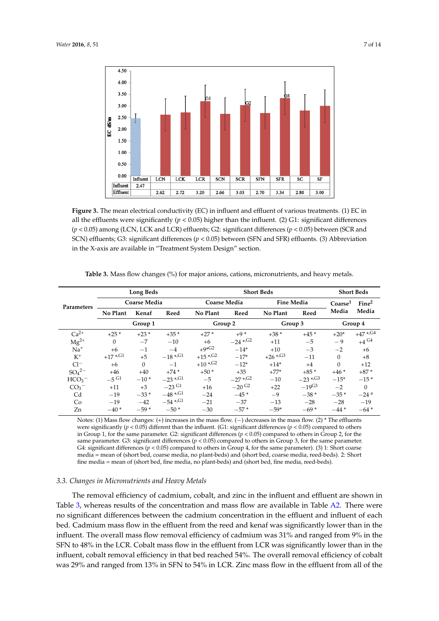<span id="page-6-0"></span>

**Figure 3.** The mean electrical conductivity (EC) in influent and effluent of various treatments. (1) EC **Figure 3.** The mean electrical conductivity (EC) in influent and effluent of various treatments. (1) EC in all the effluents were significantly ( $p < 0.05$ ) higher than the influent. (2) G1: significant differences  $(p < 0.05)$  among (LCN, LCK and LCR) effluents; G2: significant differences ( $p < 0.05$ ) between (SCR and SCN) effluents; G3: significant differences ( $p < 0.05$ ) between (SFN and SFR) effluents. (3) Abbreviation in the X-axis are available in "Treatment System Design" section.

| Parameters       |                           | <b>Long Beds</b>    |                       |                     | <b>Short Beds</b>     |                   |                     |                     |                    |  |
|------------------|---------------------------|---------------------|-----------------------|---------------------|-----------------------|-------------------|---------------------|---------------------|--------------------|--|
|                  |                           | <b>Coarse Media</b> |                       | <b>Coarse Media</b> |                       | <b>Fine Media</b> |                     | Coarse <sup>1</sup> | Fine <sup>2</sup>  |  |
|                  | No Plant<br>Kenaf<br>Reed |                     | No Plant              | Reed                | No Plant              | Reed              | Media               | Media               |                    |  |
|                  | Group 1                   |                     |                       | Group 2             |                       | Group 3           |                     | Group 4             |                    |  |
| $Ca2+$           | $+25*$                    | $+23*$              | $+35*$                | $+27*$              | $+9*$                 | $+38*$            | $+45*$              | $+20*$              | $+47$ */G4         |  |
| $Mg^{2+}$        | $\Omega$                  | $-7$                | $-10$                 | $+6$                | $-24$ <sup>*/G2</sup> | $+11$             | $-5$                | $-9$                | $+4$ <sup>G4</sup> |  |
| $Na+$            | $+6$                      | $-1$                | $-4$                  | $+9*G2$             | $-14*$                | $+10$             | $-3$                | $-2$                | $+6$               |  |
| $K^+$            | $+17$ */G1                | $+5$                | $-18$ */G1            | $+15$ */G2          | $-17*$                | $+26$ *, G3       | $-11$               | $\mathbf{0}$        | $+8$               |  |
| $Cl^-$           | $+6$                      | $\Omega$            | $-1$                  | $+10$ */G2          | $-12*$                | $+14*$            | $+4$                | $\Omega$            | $+12$              |  |
| $SO_4{}^{2-}$    | $+46$                     | $+40$               | $+74*$                | $+50*$              | $+35$                 | $+77*$            | $+85*$              | $+46*$              | $+87*$             |  |
| HCO <sub>3</sub> | $-5$ G1                   | $-10*$              | $-23$ <sup>*,G1</sup> | $-5$                | $-27$ <sup>*/G2</sup> | $-10$             | $-23$ */G3          | $-15*$              | $-15*$             |  |
| CO <sub>3</sub>  | $+11$                     | $+3$                | $-23$ G1              | $+16$               | $-20^{11}$            | $+22$             | $-19$ <sup>G3</sup> | $-2$                | $\Omega$           |  |
| C <sub>d</sub>   | $-19$                     | $-33*$              | $-48$ *, G1           | $-24$               | $-45*$                | $-9$              | $-38*$              | $-35*$              | $-24$ <sup>a</sup> |  |
| Co               | $-19$                     | $-42$               | $-54$ */ $G1$         | $-21$               | $-37$                 | $-13$             | $-28$               | $-28$               | $-19$              |  |
| Zn               | $-40*$                    | $-59*$              | $-50*$                | $-30$               | $-57*$                | $-59*$            | $-69*$              | $-44*$              | $-64*$             |  |

<span id="page-6-1"></span>Table 3. Mass flow changes (%) for major anions, cations, micronutrients, and heavy metals. mass flow are available in Table A2. The most pronounced changes were the levels of calcium and

Notes: (1) Mass flow changes: (+) increases in the mass flow. ( $-$ ) decreases in the mass flow. (2) \* The effluents were significantly ( $p < 0.05$ ) different than the influent. (G1: significant differences ( $p < 0.05$ ) compared to others same parameter. G3: significant differences ( $p < 0.05$ ) compared to others in Group 3, for the same parameter. **Long Beds Short Beds Short Beds**  media = mean of (short bed, coarse media, no plant-beds) and (short bed, coarse media, reed-beds). 2: Short fine media = mean of (short bed, fine media, no plant-beds) and (short bed, fine media, reed-beds). in Group 1, for the same parameter. G2: significant differences  $(p < 0.05)$  compared to others in Group 2, for the G4: significant differences ( $p < 0.05$ ) compared to others in Group 4, for the same parameter). (3) 1: Short coarse

# **Group 1 Group 2 Group 3 Group 4**  *3.3. Changes in Micronutrients and Heavy Metals*

The removal efficiency of cadmium, cobalt, and zinc in the influent and effluent are shown in  $\frac{1}{2}$   $\frac{1}{2}$   $\frac{1}{2}$   $\frac{1}{2}$   $\frac{1}{2}$   $\frac{1}{2}$   $\frac{1}{2}$   $\frac{1}{2}$   $\frac{1}{2}$   $\frac{1}{2}$   $\frac{1}{2}$   $\frac{1}{2}$   $\frac{1}{2}$   $\frac{1}{2}$   $\frac{1}{2}$   $\frac{1}{2}$ Table [3,](#page-6-1) whereas results of the concentration and mass flow are available in Table [A2.](#page-11-0) There were no significant differences between the cadmium concentration in the effluent and influent of each  $\overline{C}$  ,  $\overline{C}$  ,  $\overline{C}$  ,  $\overline{C}$  ,  $\overline{C}$  ,  $\overline{C}$  ,  $\overline{C}$  ,  $\overline{C}$  ,  $\overline{C}$  ,  $\overline{C}$  ,  $\overline{C}$  ,  $\overline{C}$  ,  $\overline{C}$  ,  $\overline{C}$  ,  $\overline{C}$  ,  $\overline{C}$  ,  $\overline{C}$  ,  $\overline{C}$  ,  $\overline{C}$  ,  $\overline{C}$  ,  $\mathop{\mathsf{bed}}$ . Cadmium mass flow in the effluent from the reed and kenaf was significantly lower than in the influent. The overall mass flow removal efficiency of cadmium was 31% and ranged from 9% in the SFN to 48% in the LCR. Cobalt mass flow in the effluent from LCR was significantly lower than in the influent, cobalt removal efficiency in that bed reached 54%. The overall removal efficiency of cobalt was 29% and ranged from 13% in SFN to 54% in LCR. Zinc mass flow in the effluent from all of the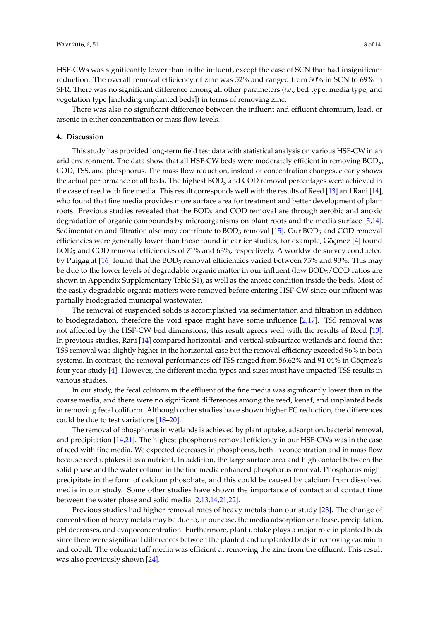HSF-CWs was significantly lower than in the influent, except the case of SCN that had insignificant reduction. The overall removal efficiency of zinc was 52% and ranged from 30% in SCN to 69% in SFR. There was no significant difference among all other parameters (*i.e*., bed type, media type, and vegetation type [including unplanted beds]) in terms of removing zinc.

There was also no significant difference between the influent and effluent chromium, lead, or arsenic in either concentration or mass flow levels.

## **4. Discussion**

This study has provided long-term field test data with statistical analysis on various HSF-CW in an arid environment. The data show that all HSF-CW beds were moderately efficient in removing BOD5, COD, TSS, and phosphorus. The mass flow reduction, instead of concentration changes, clearly shows the actual performance of all beds. The highest BOD<sub>5</sub> and COD removal percentages were achieved in the case of reed with fine media. This result corresponds well with the results of Reed [\[13\]](#page-12-12) and Rani [\[14\]](#page-12-13), who found that fine media provides more surface area for treatment and better development of plant roots. Previous studies revealed that the BOD<sub>5</sub> and COD removal are through aerobic and anoxic degradation of organic compounds by microorganisms on plant roots and the media surface [\[5,](#page-12-4)[14\]](#page-12-13). Sedimentation and filtration also may contribute to BOD<sub>5</sub> removal [\[15\]](#page-12-14). Our BOD<sub>5</sub> and COD removal efficiencies were generally lower than those found in earlier studies; for example, Göçmez [\[4\]](#page-12-3) found BOD<sup>5</sup> and COD removal efficiencies of 71% and 63%, respectively. A worldwide survey conducted by Puigagut [\[16\]](#page-12-15) found that the BOD<sub>5</sub> removal efficiencies varied between 75% and 93%. This may be due to the lower levels of degradable organic matter in our influent (low BOD5/COD ratios are shown in Appendix Supplementary Table S1), as well as the anoxic condition inside the beds. Most of the easily degradable organic matters were removed before entering HSF-CW since our influent was partially biodegraded municipal wastewater.

The removal of suspended solids is accomplished via sedimentation and filtration in addition to biodegradation, therefore the void space might have some influence [\[2](#page-12-1)[,17\]](#page-12-16). TSS removal was not affected by the HSF-CW bed dimensions, this result agrees well with the results of Reed [\[13\]](#page-12-12). In previous studies, Rani [\[14\]](#page-12-13) compared horizontal- and vertical-subsurface wetlands and found that TSS removal was slightly higher in the horizontal case but the removal efficiency exceeded 96% in both systems. In contrast, the removal performances off TSS ranged from 56.62% and 91.04% in Göçmez's four year study [\[4\]](#page-12-3). However, the different media types and sizes must have impacted TSS results in various studies.

In our study, the fecal coliform in the effluent of the fine media was significantly lower than in the coarse media, and there were no significant differences among the reed, kenaf, and unplanted beds in removing fecal coliform. Although other studies have shown higher FC reduction, the differences could be due to test variations [\[18–](#page-12-17)[20\]](#page-12-18).

The removal of phosphorus in wetlands is achieved by plant uptake, adsorption, bacterial removal, and precipitation [\[14,](#page-12-13)[21\]](#page-12-19). The highest phosphorus removal efficiency in our HSF-CWs was in the case of reed with fine media. We expected decreases in phosphorus, both in concentration and in mass flow because reed uptakes it as a nutrient. In addition, the large surface area and high contact between the solid phase and the water column in the fine media enhanced phosphorus removal. Phosphorus might precipitate in the form of calcium phosphate, and this could be caused by calcium from dissolved media in our study. Some other studies have shown the importance of contact and contact time between the water phase and solid media [\[2,](#page-12-1)[13,](#page-12-12)[14,](#page-12-13)[21,](#page-12-19)[22\]](#page-12-20).

Previous studies had higher removal rates of heavy metals than our study [\[23\]](#page-12-21). The change of concentration of heavy metals may be due to, in our case, the media adsorption or release, precipitation, pH decreases, and evapoconcentration. Furthermore, plant uptake plays a major role in planted beds since there were significant differences between the planted and unplanted beds in removing cadmium and cobalt. The volcanic tuff media was efficient at removing the zinc from the effluent. This result was also previously shown [\[24\]](#page-13-0).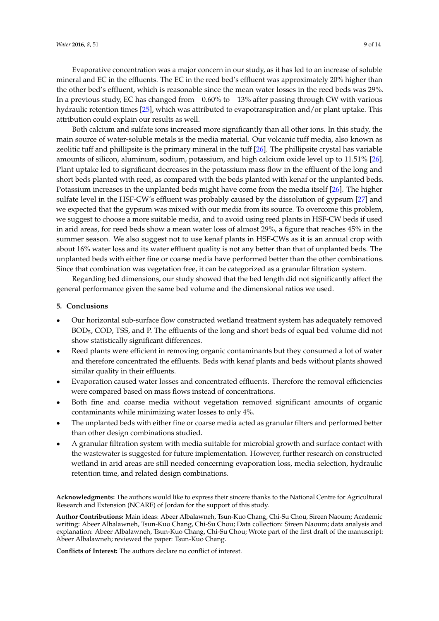Evaporative concentration was a major concern in our study, as it has led to an increase of soluble mineral and EC in the effluents. The EC in the reed bed's effluent was approximately 20% higher than the other bed's effluent, which is reasonable since the mean water losses in the reed beds was 29%. In a previous study, EC has changed from  $-0.60\%$  to  $-13\%$  after passing through CW with various hydraulic retention times [\[25\]](#page-13-1), which was attributed to evapotranspiration and/or plant uptake. This attribution could explain our results as well.

Both calcium and sulfate ions increased more significantly than all other ions. In this study, the main source of water-soluble metals is the media material. Our volcanic tuff media, also known as zeolitic tuff and phillipsite is the primary mineral in the tuff [\[26\]](#page-13-2). The phillipsite crystal has variable amounts of silicon, aluminum, sodium, potassium, and high calcium oxide level up to 11.51% [\[26\]](#page-13-2). Plant uptake led to significant decreases in the potassium mass flow in the effluent of the long and short beds planted with reed, as compared with the beds planted with kenaf or the unplanted beds. Potassium increases in the unplanted beds might have come from the media itself [\[26\]](#page-13-2). The higher sulfate level in the HSF-CW's effluent was probably caused by the dissolution of gypsum [\[27\]](#page-13-3) and we expected that the gypsum was mixed with our media from its source. To overcome this problem, we suggest to choose a more suitable media, and to avoid using reed plants in HSF-CW beds if used in arid areas, for reed beds show a mean water loss of almost 29%, a figure that reaches 45% in the summer season. We also suggest not to use kenaf plants in HSF-CWs as it is an annual crop with about 16% water loss and its water effluent quality is not any better than that of unplanted beds. The unplanted beds with either fine or coarse media have performed better than the other combinations. Since that combination was vegetation free, it can be categorized as a granular filtration system.

Regarding bed dimensions, our study showed that the bed length did not significantly affect the general performance given the same bed volume and the dimensional ratios we used.

### **5. Conclusions**

- ' Our horizontal sub-surface flow constructed wetland treatment system has adequately removed BOD5, COD, TSS, and P. The effluents of the long and short beds of equal bed volume did not show statistically significant differences.
- Reed plants were efficient in removing organic contaminants but they consumed a lot of water and therefore concentrated the effluents. Beds with kenaf plants and beds without plants showed similar quality in their effluents.
- ' Evaporation caused water losses and concentrated effluents. Therefore the removal efficiencies were compared based on mass flows instead of concentrations.
- ' Both fine and coarse media without vegetation removed significant amounts of organic contaminants while minimizing water losses to only 4%.
- The unplanted beds with either fine or coarse media acted as granular filters and performed better than other design combinations studied.
- ' A granular filtration system with media suitable for microbial growth and surface contact with the wastewater is suggested for future implementation. However, further research on constructed wetland in arid areas are still needed concerning evaporation loss, media selection, hydraulic retention time, and related design combinations.

**Acknowledgments:** The authors would like to express their sincere thanks to the National Centre for Agricultural Research and Extension (NCARE) of Jordan for the support of this study.

**Author Contributions:** Main ideas: Abeer Albalawneh, Tsun-Kuo Chang, Chi-Su Chou, Sireen Naoum; Academic writing: Abeer Albalawneh, Tsun-Kuo Chang, Chi-Su Chou; Data collection: Sireen Naoum; data analysis and explanation: Abeer Albalawneh, Tsun-Kuo Chang, Chi-Su Chou; Wrote part of the first draft of the manuscript: Abeer Albalawneh; reviewed the paper: Tsun-Kuo Chang.

**Conflicts of Interest:** The authors declare no conflict of interest.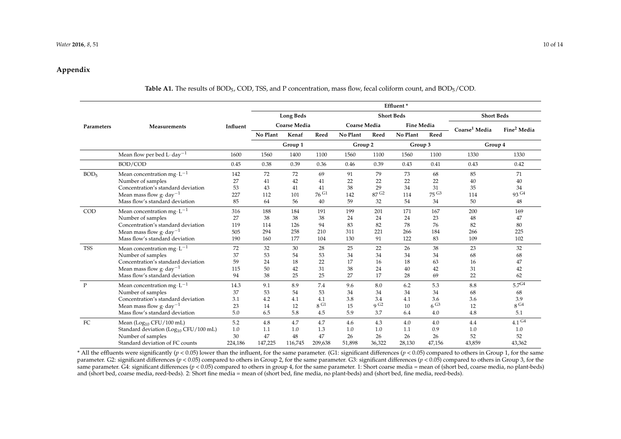#### *Water* **2016**, *8*, 51 10 of 14

# **Appendix**

# **Table A1.** The results of BOD<sub>5</sub>, COD, TSS, and P concentration, mass flow, fecal coliform count, and BOD<sub>5</sub>/COD.

|                  |                                                   |          | Effluent*           |         |                   |                     |                   |                   |                       |                           |                         |
|------------------|---------------------------------------------------|----------|---------------------|---------|-------------------|---------------------|-------------------|-------------------|-----------------------|---------------------------|-------------------------|
|                  |                                                   |          | <b>Long Beds</b>    |         | <b>Short Beds</b> |                     |                   |                   | <b>Short Beds</b>     |                           |                         |
| Parameters       | Measurements                                      | Influent | <b>Coarse Media</b> |         |                   | <b>Coarse Media</b> |                   | <b>Fine Media</b> |                       | Coarse <sup>1</sup> Media | Fine <sup>2</sup> Media |
|                  |                                                   |          | No Plant            | Kenaf   | Reed              | No Plant            | Reed              | No Plant          | Reed                  |                           |                         |
|                  |                                                   |          |                     | Group 1 |                   | Group 2             |                   | Group 3           |                       | Group 4                   |                         |
|                  | Mean flow per bed L day <sup>-1</sup>             | 1600     | 1560                | 1400    | 1100              | 1560                | 1100              | 1560              | 1100                  | 1330                      | 1330                    |
|                  | BOD/COD                                           | 0.45     | 0.38                | 0.39    | 0.36              | 0.46                | 0.39              | 0.43              | 0.41                  | 0.43                      | 0.42                    |
| BOD <sub>5</sub> | Mean concentration mg $L^{-1}$                    | 142      | 72                  | 72      | 69                | 91                  | 79                | 73                | 68                    | 85                        | 71                      |
|                  | Number of samples                                 | 27       | 41                  | 42      | 41                | 22                  | 22                | 22                | 22                    | 40                        | 40                      |
|                  | Concentration's standard deviation                | 53       | 43                  | 41      | 41                | 38                  | 29                | 34                | 31                    | 35                        | 34                      |
|                  | Mean mass flow $g \cdot day^{-1}$                 | 227      | 112                 | 101     | 76G               | 142                 | 87 <sup> G2</sup> | 114               | $75\,$ G <sub>3</sub> | 114                       | 93 G4                   |
|                  | Mass flow's standard deviation                    | 85       | 64                  | 56      | 40                | 59                  | 32                | 54                | 34                    | 50                        | 48                      |
| COD              | Mean concentration mg $L^{-1}$                    | 316      | 188                 | 184     | 191               | 199                 | 201               | 171               | 167                   | 200                       | 169                     |
|                  | Number of samples                                 | 27       | 38                  | 38      | 38                | 24                  | 24                | 24                | 23                    | 48                        | 47                      |
|                  | Concentration's standard deviation                | 119      | 114                 | 126     | 94                | 83                  | 82                | 78                | 76                    | 82                        | 80                      |
|                  | Mean mass flow $g \cdot day^{-1}$                 | 505      | 294                 | 258     | 210               | 311                 | 221               | 266               | 184                   | 266                       | 225                     |
|                  | Mass flow's standard deviation                    | 190      | 160                 | 177     | 104               | 130                 | 91                | 122               | 83                    | 109                       | 102                     |
| <b>TSS</b>       | Mean concentration mg $L^{-1}$                    | 72       | 32                  | 30      | 28                | 25                  | 22                | 26                | 38                    | 23                        | 32                      |
|                  | Number of samples                                 | 37       | 53                  | 54      | 53                | 34                  | 34                | 34                | 34                    | 68                        | 68                      |
|                  | Concentration's standard deviation                | 59       | 24                  | 18      | 22                | 17                  | 16                | 18                | 63                    | 16                        | 47                      |
|                  | Mean mass flow $g \cdot day^{-1}$                 | 115      | 50                  | 42      | 31                | 38                  | 24                | 40                | 42                    | 31                        | 42                      |
|                  | Mass flow's standard deviation                    | 94       | 38                  | 25      | 25                | 27                  | 17                | 28                | 69                    | 22                        | 62                      |
| $\mathbf{P}$     | Mean concentration mg $L^{-1}$                    | 14.3     | 9.1                 | 8.9     | 7.4               | 9.6                 | 8.0               | 6.2               | 5.3                   | 8.8                       | 5.7 <sup>G4</sup>       |
|                  | Number of samples                                 | 37       | 53                  | 54      | 53                | 34                  | 34                | 34                | 34                    | 68                        | 68                      |
|                  | Concentration's standard deviation                | 3.1      | 4.2                 | 4.1     | 4.1               | 3.8                 | 3.4               | 4.1               | 3.6                   | 3.6                       | 3.9                     |
|                  | Mean mass flow $g \cdot day^{-1}$                 | 23       | 14                  | 12      | 8 <sup> G1</sup>  | 15                  | 9 <sup>G2</sup>   | 10                | 6G3                   | 12                        | $8\,$ G4                |
|                  | Mass flow's standard deviation                    | 5.0      | 6.5                 | 5.8     | 4.5               | 5.9                 | 3.7               | 6.4               | 4.0                   | 4.8                       | 5.1                     |
| FC               | Mean (Log <sub>10</sub> CFU/100 mL)               | 5.2      | 4.8                 | 4.7     | 4.7               | 4.6                 | 4.3               | 4.0               | 4.0                   | 4.4                       | 4.1 <sup>G4</sup>       |
|                  | Standard deviation (Log <sub>10</sub> CFU/100 mL) | 1.0      | 1.1                 | 1.0     | 1.3               | 1.0                 | 1.0               | 1.1               | 0.9                   | 1.0                       | 1.0                     |
|                  | Number of samples                                 | 30       | 47                  | 48      | 47                | 26                  | 26                | 26                | 26                    | 52                        | 52                      |
|                  | Standard deviation of FC counts                   | 224,186  | 147,225             | 116,745 | 209,638           | 51,898              | 36,322            | 28,130            | 47,156                | 43,859                    | 43,362                  |

<span id="page-9-0"></span> $*$  All the effluents were significantly ( $p < 0.05$ ) lower than the influent, for the same parameter. (G1: significant differences ( $p < 0.05$ ) compared to others in Group 1, for the same parameter. G2: significant differences (*p* < 0.05) compared to others in Group 2, for the same parameter. G3: significant differences (*p* < 0.05) compared to others in Group 3, for the same parameter. G4: significant differences (*p <* 0.05) compared to others in group 4, for the same parameter. 1: Short coarse media = mean of (short bed, coarse media, no plant-beds) and (short bed, coarse media, reed-beds). 2: Short fine media = mean of (short bed, fine media, no plant-beds) and (short bed, fine media, reed-beds).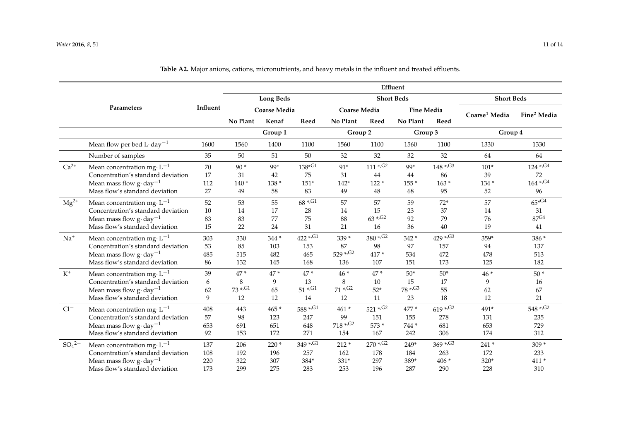|               |                                               |      |                                                     |         |               |                          |                          | Effluent          |                         |                           |                          |
|---------------|-----------------------------------------------|------|-----------------------------------------------------|---------|---------------|--------------------------|--------------------------|-------------------|-------------------------|---------------------------|--------------------------|
|               |                                               |      | <b>Long Beds</b><br>Influent<br><b>Coarse Media</b> |         |               |                          |                          | <b>Short Beds</b> | <b>Short Beds</b>       |                           |                          |
|               | Parameters                                    |      |                                                     |         |               | <b>Coarse Media</b>      |                          | <b>Fine Media</b> |                         | Coarse <sup>1</sup> Media | Fine <sup>2</sup> Media  |
|               |                                               |      | No Plant                                            | Kenaf   | Reed          | No Plant                 | Reed                     | No Plant          | Reed                    |                           |                          |
|               |                                               |      |                                                     | Group 1 |               | Group 2                  |                          | Group 3           |                         | Group 4                   |                          |
|               | Mean flow per bed L $\cdot$ day <sup>-1</sup> | 1600 | 1560                                                | 1400    | 1100          | 1560                     | 1100                     | 1560              | 1100                    | 1330                      | 1330                     |
|               | Number of samples                             | 35   | 50                                                  | 51      | 50            | 32                       | 32                       | 32                | 32                      | 64                        | 64                       |
| $Ca2+$        | Mean concentration mg· $L^{-1}$               | 70   | $90*$                                               | 99*     | $138*^{G1}$   | 91*                      | $111 \, \mathrm{*.G2}$   | 99*               | $148$ */G3              | $101*$                    | $124$ */G4               |
|               | Concentration's standard deviation            | 17   | 31                                                  | 42      | 75            | 31                       | 44                       | 44                | 86                      | 39                        | 72                       |
|               | Mean mass flow $g \cdot day^{-1}$             | 112  | $140*$                                              | $138*$  | $151*$        | $142*$                   | $122*$                   | $155*$            | $163*$                  | 134 *                     | $164 * . G4$             |
|               | Mass flow's standard deviation                | 27   | 49                                                  | 58      | 83            | 49                       | 48                       | 68                | 95                      | 52                        | 96                       |
| $Mg^{2+}$     | Mean concentration mg $\cdot L^{-1}$          | 52   | 53                                                  | 55      | $68$ *, G1    | 57                       | 57                       | 59                | $72*$                   | 57                        | $65*G4$                  |
|               | Concentration's standard deviation            | 10   | 14                                                  | 17      | 28            | 14                       | 15                       | 23                | 37                      | 14                        | 31                       |
|               | Mean mass flow $g \cdot day^{-1}$             | 83   | 83                                                  | 77      | 75            | 88                       | $63$ *, G <sub>2</sub>   | 92                | 79                      | 76                        | 87 <sup>G4</sup>         |
|               | Mass flow's standard deviation                | 15   | 22                                                  | 24      | 31            | 21                       | 16                       | 36                | 40                      | 19                        | 41                       |
| $Na+$         | Mean concentration mg $L^{-1}$                | 303  | 330                                                 | 344 *   | $422$ */ $G1$ | 339 *                    | $380 * .$ G2             | 342 *             | $429$ *, G3             | 359*                      | 386 *                    |
|               | Concentration's standard deviation            | 53   | 85                                                  | 103     | 153           | 87                       | 98                       | 97                | 157                     | 94                        | 137                      |
|               | Mean mass flow $g \cdot day^{-1}$             | 485  | 515                                                 | 482     | 465           | $529 * . G2$             | 417*                     | 534               | 472                     | 478                       | 513                      |
|               | Mass flow's standard deviation                | 86   | 132                                                 | 145     | 168           | 136                      | 107                      | 151               | 173                     | 125                       | 182                      |
| $\rm K^+$     | Mean concentration mg· $L^{-1}$               | 39   | 47*                                                 | $47*$   | $47*$         | $46*$                    | $47*$                    | $50*$             | $50*$                   | $46*$                     | $50*$                    |
|               | Concentration's standard deviation            | 6    | 8                                                   | 9       | 13            | 8                        | 10                       | 15                | 17                      | 9                         | 16                       |
|               | Mean mass flow $g \cdot day^{-1}$             | 62   | $73 * . G1$                                         | 65      | $51 * . G1$   | $71 * . G2$              | $52*$                    | $78 * . G3$       | 55                      | 62                        | 67                       |
|               | Mass flow's standard deviation                | 9    | 12                                                  | 12      | 14            | 12                       | 11                       | 23                | 18                      | 12                        | 21                       |
| $Cl^-$        | Mean concentration mg $L^{-1}$                | 408  | 443                                                 | 465 *   | $588 * .G1$   | 461 *                    | $521 * .$ G <sub>2</sub> | 477 *             | $619$ *, G <sub>2</sub> | 491*                      | $548 * .$ G <sub>2</sub> |
|               | Concentration's standard deviation            | 57   | 98                                                  | 123     | 247           | 99                       | 151                      | 155               | 278                     | 131                       | 235                      |
|               | Mean mass flow $g \cdot day^{-1}$             | 653  | 691                                                 | 651     | 648           | $718 * .$ G <sub>2</sub> | 573 *                    | 744 *             | 681                     | 653                       | 729                      |
|               | Mass flow's standard deviation                | 92   | 153                                                 | 172     | 271           | 154                      | 167                      | 242               | 306                     | 174                       | 312                      |
| $SO_4{}^{2-}$ | Mean concentration mg· $L^{-1}$               | 137  | 206                                                 | $220*$  | 349 *, G1     | $212 *$                  | $270$ *, G <sub>2</sub>  | 249*              | $369 * . G3$            | 241 *                     | $309*$                   |
|               | Concentration's standard deviation            | 108  | 192                                                 | 196     | 257           | 162                      | 178                      | 184               | 263                     | 172                       | 233                      |
|               | Mean mass flow $g \cdot day^{-1}$             | 220  | 322                                                 | 307     | 384*          | 331*                     | 297                      | 389*              | $406*$                  | 320*                      | 411 *                    |
|               | Mass flow's standard deviation                | 173  | 299                                                 | 275     | 283           | 253                      | 196                      | 287               | 290                     | 228                       | 310                      |

**Table A2.** Major anions, cations, micronutrients, and heavy metals in the influent and treated effluents.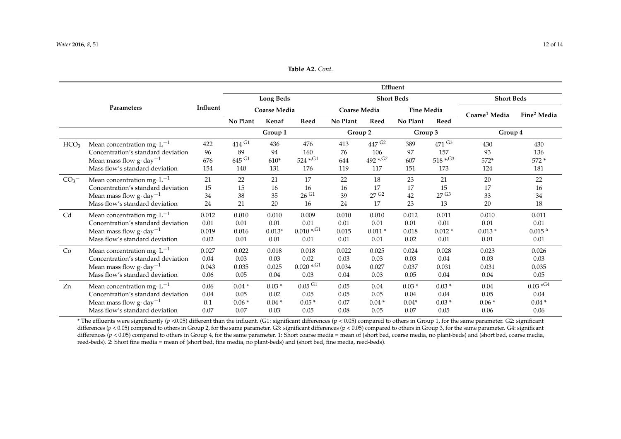### **Table A2.** *Cont.*

|                  |                                      |          | Effluent                                |          |                      |                     |                         |                   |                          |                           |                         |  |
|------------------|--------------------------------------|----------|-----------------------------------------|----------|----------------------|---------------------|-------------------------|-------------------|--------------------------|---------------------------|-------------------------|--|
|                  |                                      |          | <b>Long Beds</b><br><b>Coarse Media</b> |          |                      |                     |                         | <b>Short Beds</b> | <b>Short Beds</b>        |                           |                         |  |
| Parameters       |                                      | Influent |                                         |          |                      | <b>Coarse Media</b> |                         | <b>Fine Media</b> |                          | Coarse <sup>1</sup> Media | Fine <sup>2</sup> Media |  |
|                  |                                      |          | No Plant                                | Kenaf    | Reed                 | No Plant            | Reed                    | No Plant          | Reed                     |                           |                         |  |
|                  |                                      |          | Group 1                                 |          |                      | Group 2<br>Group 3  |                         |                   |                          | Group 4                   |                         |  |
| HCO <sub>3</sub> | Mean concentration mg $\cdot L^{-1}$ | 422      | $414$ G1                                | 436      | 476                  | 413                 | 447 G <sub>2</sub>      | 389               | $471$ G <sub>3</sub>     | 430                       | 430                     |  |
|                  | Concentration's standard deviation   | 96       | 89                                      | 94       | 160                  | 76                  | 106                     | 97                | 157                      | 93                        | 136                     |  |
|                  | Mean mass flow $g \cdot day^{-1}$    | 676      | $645$ G1                                | $610*$   | $524$ */ $G1$        | 644                 | $492$ *, G <sub>2</sub> | 607               | $518 * .$ G <sub>3</sub> | $572*$                    | $572*$                  |  |
|                  | Mass flow's standard deviation       | 154      | 140                                     | 131      | 176                  | 119                 | 117                     | 151               | 173                      | 124                       | 181                     |  |
| CO <sub>3</sub>  | Mean concentration mg $\cdot L^{-1}$ | 21       | 22                                      | 21       | 17                   | 22                  | 18                      | 23                | 21                       | 20                        | 22                      |  |
|                  | Concentration's standard deviation   | 15       | 15                                      | 16       | 16                   | 16                  | 17                      | 17                | 15                       | 17                        | 16                      |  |
|                  | Mean mass flow $g \cdot day^{-1}$    | 34       | 38                                      | 35       | $26\,$ G1            | 39                  | 27 <sup> G2</sup>       | 42                | 27 <sup>G3</sup>         | 33                        | 34                      |  |
|                  | Mass flow's standard deviation       | 24       | 21                                      | 20       | 16                   | 24                  | 17                      | 23                | 13                       | 20                        | 18                      |  |
| Cd               | Mean concentration mg $\cdot L^{-1}$ | 0.012    | 0.010                                   | 0.010    | 0.009                | 0.010               | 0.010                   | 0.012             | 0.011                    | 0.010                     | 0.011                   |  |
|                  | Concentration's standard deviation   | 0.01     | 0.01                                    | 0.01     | 0.01                 | 0.01                | 0.01                    | 0.01              | 0.01                     | 0.01                      | 0.01                    |  |
|                  | Mean mass flow $g \cdot day^{-1}$    | 0.019    | 0.016                                   | $0.013*$ | $0.010$ */G1         | 0.015               | $0.011*$                | 0.018             | $0.012*$                 | $0.013*$                  | 0.015 <sup>a</sup>      |  |
|                  | Mass flow's standard deviation       | 0.02     | 0.01                                    | 0.01     | 0.01                 | 0.01                | 0.01                    | 0.02              | 0.01                     | 0.01                      | 0.01                    |  |
| Co               | Mean concentration mg $\cdot L^{-1}$ | 0.027    | 0.022                                   | 0.018    | 0.018                | 0.022               | 0.025                   | 0.024             | 0.028                    | 0.023                     | 0.026                   |  |
|                  | Concentration's standard deviation   | 0.04     | 0.03                                    | 0.03     | 0.02                 | 0.03                | 0.03                    | 0.03              | 0.04                     | 0.03                      | 0.03                    |  |
|                  | Mean mass flow $g \cdot day^{-1}$    | 0.043    | 0.035                                   | 0.025    | $0.020$ */G1         | 0.034               | 0.027                   | 0.037             | 0.031                    | 0.031                     | 0.035                   |  |
|                  | Mass flow's standard deviation       | 0.06     | 0.05                                    | 0.04     | 0.03                 | 0.04                | 0.03                    | 0.05              | 0.04                     | 0.04                      | 0.05                    |  |
| Zn               | Mean concentration mg $\cdot L^{-1}$ | 0.06     | $0.04*$                                 | $0.03*$  | $0.05$ <sup>G1</sup> | 0.05                | 0.04                    | $0.03*$           | $0.03*$                  | 0.04                      | $0.03 * G4$             |  |
|                  | Concentration's standard deviation   | 0.04     | 0.05                                    | 0.02     | 0.05                 | 0.05                | 0.05                    | 0.04              | 0.04                     | 0.05                      | 0.04                    |  |
|                  | Mean mass flow $g \cdot day^{-1}$    | 0.1      | $0.06*$                                 | $0.04*$  | $0.05*$              | 0.07                | $0.04*$                 | $0.04*$           | $0.03*$                  | $0.06*$                   | $0.04*$                 |  |
|                  | Mass flow's standard deviation       | 0.07     | 0.07                                    | 0.03     | 0.05                 | 0.08                | 0.05                    | 0.07              | 0.05                     | 0.06                      | 0.06                    |  |

<span id="page-11-0"></span>\* The effluents were significantly (*p* <0.05) different than the influent. (G1: significant differences (p < 0.05) compared to others in Group 1, for the same parameter. G2: significant differences ( $p$  < 0.05) compared to others in Group 2, for the same parameter. G3: significant differences ( $p$  < 0.05) compared to others in Group 3, for the same parameter. G4: significant differences ( $p < 0.05$ ) compared to others in Group 4, for the same parameter. 1: Short coarse media = mean of (short bed, coarse media, no plant-beds) and (short bed, coarse media, reed-beds). 2: Short fine media = mean of (short bed, fine media, no plant-beds) and (short bed, fine media, reed-beds).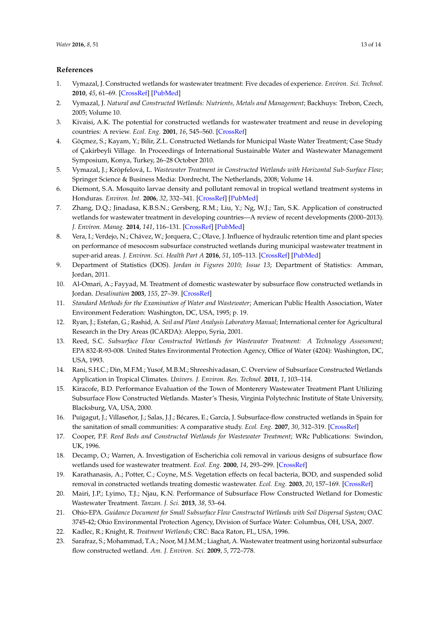# **References**

- <span id="page-12-0"></span>1. Vymazal, J. Constructed wetlands for wastewater treatment: Five decades of experience. *Environ. Sci. Technol.* **2010**, *45*, 61–69. [\[CrossRef\]](http://dx.doi.org/10.1021/es101403q) [\[PubMed\]](http://www.ncbi.nlm.nih.gov/pubmed/20795704)
- <span id="page-12-1"></span>2. Vymazal, J. *Natural and Constructed Wetlands: Nutrients, Metals and Management*; Backhuys: Trebon, Czech, 2005; Volume 10.
- <span id="page-12-2"></span>3. Kivaisi, A.K. The potential for constructed wetlands for wastewater treatment and reuse in developing countries: A review. *Ecol. Eng.* **2001**, *16*, 545–560. [\[CrossRef\]](http://dx.doi.org/10.1016/S0925-8574(00)00113-0)
- <span id="page-12-3"></span>4. Göçmez, S.; Kayam, Y.; Bilir, Z.L. Constructed Wetlands for Municipal Waste Water Treatment; Case Study of Çakirbeyli Village. In Proceedings of International Sustainable Water and Wastewater Management Symposium, Konya, Turkey, 26–28 October 2010.
- <span id="page-12-4"></span>5. Vymazal, J.; Kröpfelová, L. *Wastewater Treatment in Constructed Wetlands with Horizontal Sub-Surface Flow*; Springer Science & Business Media: Dordrecht, The Netherlands, 2008; Volume 14.
- <span id="page-12-5"></span>6. Diemont, S.A. Mosquito larvae density and pollutant removal in tropical wetland treatment systems in Honduras. *Environ. Int.* **2006**, *32*, 332–341. [\[CrossRef\]](http://dx.doi.org/10.1016/j.envint.2005.07.001) [\[PubMed\]](http://www.ncbi.nlm.nih.gov/pubmed/16126272)
- <span id="page-12-6"></span>7. Zhang, D.Q.; Jinadasa, K.B.S.N.; Gersberg, R.M.; Liu, Y.; Ng, W.J.; Tan, S.K. Application of constructed wetlands for wastewater treatment in developing countries—A review of recent developments (2000–2013). *J. Environ. Manag.* **2014**, *141*, 116–131. [\[CrossRef\]](http://dx.doi.org/10.1016/j.jenvman.2014.03.015) [\[PubMed\]](http://www.ncbi.nlm.nih.gov/pubmed/24784754)
- <span id="page-12-7"></span>8. Vera, I.; Verdejo, N.; Chávez, W.; Jorquera, C.; Olave, J. Influence of hydraulic retention time and plant species on performance of mesocosm subsurface constructed wetlands during municipal wastewater treatment in super-arid areas. *J. Environ. Sci. Health Part A* **2016**, *51*, 105–113. [\[CrossRef\]](http://dx.doi.org/10.1080/10934529.2015.1087732) [\[PubMed\]](http://www.ncbi.nlm.nih.gov/pubmed/26569636)
- <span id="page-12-8"></span>9. Department of Statistics (DOS). *Jordan in Figures 2010; Issue 13*; Department of Statistics: Amman, Jordan, 2011.
- <span id="page-12-9"></span>10. Al-Omari, A.; Fayyad, M. Treatment of domestic wastewater by subsurface flow constructed wetlands in Jordan. *Desalination* **2003**, *155*, 27–39. [\[CrossRef\]](http://dx.doi.org/10.1016/S0011-9164(03)00236-4)
- <span id="page-12-10"></span>11. *Standard Methods for the Examination of Water and Wastewater*; American Public Health Association, Water Environment Federation: Washington, DC, USA, 1995; p. 19.
- <span id="page-12-11"></span>12. Ryan, J.; Estefan, G.; Rashid, A. *Soil and Plant Analysis Laboratory Manual*; International center for Agricultural Research in the Dry Areas (ICARDA): Aleppo, Syria, 2001.
- <span id="page-12-12"></span>13. Reed, S.C. *Subsurface Flow Constructed Wetlands for Wastewater Treatment: A Technology Assessment*; EPA 832-R-93-008. United States Environmental Protection Agency, Office of Water (4204): Washington, DC, USA, 1993.
- <span id="page-12-13"></span>14. Rani, S.H.C.; Din, M.F.M.; Yusof, M.B.M.; Shreeshivadasan, C. Overview of Subsurface Constructed Wetlands Application in Tropical Climates. *Univers. J. Environ. Res. Technol.* **2011**, *1*, 103–114.
- <span id="page-12-14"></span>15. Kiracofe, B.D. Performance Evaluation of the Town of Monterery Wastewater Treatment Plant Utilizing Subsurface Flow Constructed Wetlands. Master's Thesis, Virginia Polytechnic Institute of State University, Blacksburg, VA, USA, 2000.
- <span id="page-12-15"></span>16. Puigagut, J.; Villaseñor, J.; Salas, J.J.; Bécares, E.; García, J. Subsurface-flow constructed wetlands in Spain for the sanitation of small communities: A comparative study. *Ecol. Eng.* **2007**, *30*, 312–319. [\[CrossRef\]](http://dx.doi.org/10.1016/j.ecoleng.2007.04.005)
- <span id="page-12-16"></span>17. Cooper, P.F. *Reed Beds and Constructed Wetlands for Wastewater Treatment*; WRc Publications: Swindon, UK, 1996.
- <span id="page-12-17"></span>18. Decamp, O.; Warren, A. Investigation of Escherichia coli removal in various designs of subsurface flow wetlands used for wastewater treatment. *Ecol. Eng.* **2000**, *14*, 293–299. [\[CrossRef\]](http://dx.doi.org/10.1016/S0925-8574(99)00007-5)
- 19. Karathanasis, A.; Potter, C.; Coyne, M.S. Vegetation effects on fecal bacteria, BOD, and suspended solid removal in constructed wetlands treating domestic wastewater. *Ecol. Eng.* **2003**, *20*, 157–169. [\[CrossRef\]](http://dx.doi.org/10.1016/S0925-8574(03)00011-9)
- <span id="page-12-18"></span>20. Mairi, J.P.; Lyimo, T.J.; Njau, K.N. Performance of Subsurface Flow Constructed Wetland for Domestic Wastewater Treatment. *Tanzan. J. Sci.* **2013**, *38*, 53–64.
- <span id="page-12-19"></span>21. Ohio-EPA. *Guidance Document for Small Subsurface Flow Constructed Wetlands with Soil Dispersal System*; OAC 3745-42; Ohio Environmental Protection Agency, Division of Surface Water: Columbus, OH, USA, 2007.
- <span id="page-12-20"></span>22. Kadlec, R.; Knight, R. *Treatment Wetlands*; CRC: Baca Raton, FL, USA, 1996.
- <span id="page-12-21"></span>23. Sarafraz, S.; Mohammad, T.A.; Noor, M.J.M.M.; Liaghat, A. Wastewater treatment using horizontal subsurface flow constructed wetland. *Am. J. Environ. Sci.* **2009**, *5*, 772–778.